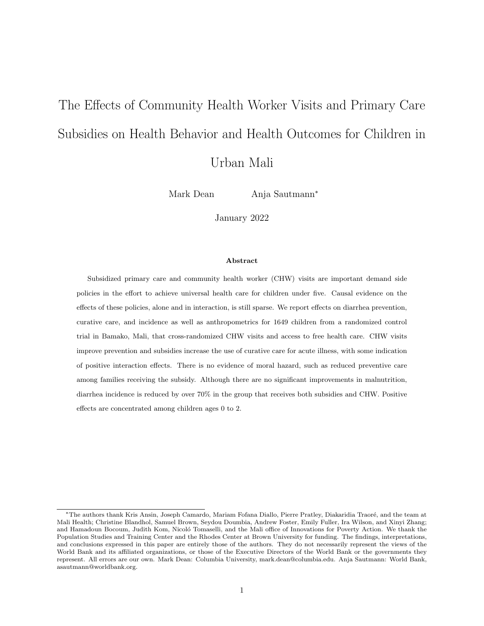# The Effects of Community Health Worker Visits and Primary Care Subsidies on Health Behavior and Health Outcomes for Children in Urban Mali

Mark Dean Anja Sautmann<sup>∗</sup>

January 2022

## Abstract

Subsidized primary care and community health worker (CHW) visits are important demand side policies in the effort to achieve universal health care for children under five. Causal evidence on the effects of these policies, alone and in interaction, is still sparse. We report effects on diarrhea prevention, curative care, and incidence as well as anthropometrics for 1649 children from a randomized control trial in Bamako, Mali, that cross-randomized CHW visits and access to free health care. CHW visits improve prevention and subsidies increase the use of curative care for acute illness, with some indication of positive interaction effects. There is no evidence of moral hazard, such as reduced preventive care among families receiving the subsidy. Although there are no significant improvements in malnutrition, diarrhea incidence is reduced by over 70% in the group that receives both subsidies and CHW. Positive effects are concentrated among children ages 0 to 2.

<sup>\*</sup>The authors thank Kris Ansin, Joseph Camardo, Mariam Fofana Diallo, Pierre Pratley, Diakaridia Traoré, and the team at Mali Health; Christine Blandhol, Samuel Brown, Seydou Doumbia, Andrew Foster, Emily Fuller, Ira Wilson, and Xinyi Zhang; and Hamadoun Bocoum, Judith Kom, Nicoló Tomaselli, and the Mali office of Innovations for Poverty Action. We thank the Population Studies and Training Center and the Rhodes Center at Brown University for funding. The findings, interpretations, and conclusions expressed in this paper are entirely those of the authors. They do not necessarily represent the views of the World Bank and its affiliated organizations, or those of the Executive Directors of the World Bank or the governments they represent. All errors are our own. Mark Dean: Columbia University, mark.dean@columbia.edu. Anja Sautmann: World Bank, asautmann@worldbank.org.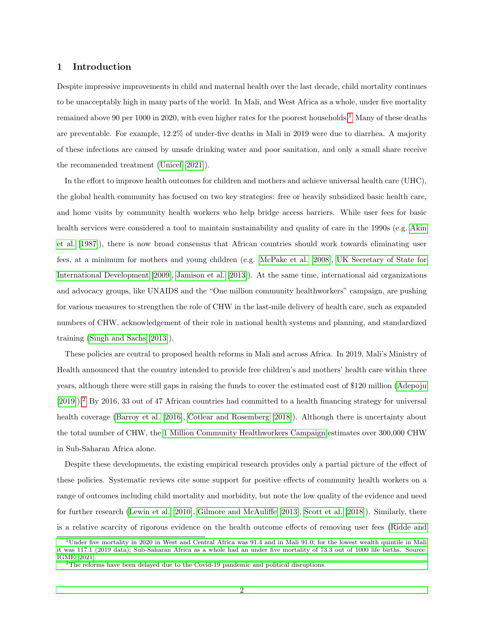# 1 Introduction

Despite impressive improvements in child and maternal health over the last decade, child mortality continues to be unacceptably high in many parts of the world. In Mali, and West Africa as a whole, under five mortality remained above 90 per [1](#page-1-0)000 in 2020, with even higher rates for the poorest households.<sup>1</sup> Many of these deaths are preventable. For example, 12.2% of under-five deaths in Mali in 2019 were due to diarrhea. A majority of these infections are caused by unsafe drinking water and poor sanitation, and only a small share receive the recommended treatment [\(Unicef](#page-22-0) [\[2021\]](#page-22-0)).

In the effort to improve health outcomes for children and mothers and achieve universal health care (UHC), the global health community has focused on two key strategies: free or heavily subsidized basic health care, and home visits by community health workers who help bridge access barriers. While user fees for basic health services were considered a tool to maintain sustainability and quality of care in the 1990s (e.g. [Akin](#page-21-0) [et al.](#page-21-0) [\[1987\]](#page-21-0)), there is now broad consensus that African countries should work towards eliminating user fees, at a minimum for mothers and young children (e.g. [McPake et al.](#page-21-1) [\[2008\]](#page-21-1), [UK Secretary of State for](#page-22-1) [International Development](#page-22-1) [\[2009\]](#page-22-1), [Jamison et al.](#page-21-2) [\[2013\]](#page-21-2)). At the same time, international aid organizations and advocacy groups, like UNAIDS and the "One million community healthworkers" campaign, are pushing for various measures to strengthen the role of CHW in the last-mile delivery of health care, such as expanded numbers of CHW, acknowledgement of their role in national health systems and planning, and standardized training [\(Singh and Sachs](#page-22-2) [\[2013\]](#page-22-2)).

These policies are central to proposed health reforms in Mali and across Africa. In 2019, Mali's Ministry of Health announced that the country intended to provide free children's and mothers' health care within three years, although there were still gaps in raising the funds to cover the estimated cost of \$120 million [\(Adepoju](#page-21-3) [\[2019\]](#page-21-3)).<sup>[2](#page-1-1)</sup> By 2016, 33 out of 47 African countries had committed to a health financing strategy for universal health coverage [\(Barroy et al.](#page-21-4) [\[2016\]](#page-21-4), [Cotlear and Rosemberg](#page-21-5) [\[2018\]](#page-21-5)). Although there is uncertainty about the total number of CHW, the [1 Million Community Healthworkers Campaign](#page-21-6) estimates over 300,000 CHW in Sub-Saharan Africa alone.

Despite these developments, the existing empirical research provides only a partial picture of the effect of these policies. Systematic reviews cite some support for positive effects of community health workers on a range of outcomes including child mortality and morbidity, but note the low quality of the evidence and need for further research [\(Lewin et al.](#page-21-7) [\[2010\]](#page-21-7), [Gilmore and McAuliffe](#page-21-8) [\[2013\]](#page-21-8), [Scott et al.](#page-22-3) [\[2018\]](#page-22-3)). Similarly, there is a relative scarcity of rigorous evidence on the health outcome effects of removing user fees [\(Ridde and](#page-22-4)

<span id="page-1-0"></span><sup>&</sup>lt;sup>1</sup>[Under five mortality in 2020 in West and Central Africa was 91.4 and in Mali 91.0; for the lowest wealth quintile in Mali](#page-22-4) [it was 117.1 \(2019 data\); Sub-Saharan Africa as a whole had an under five mortality of 73.3 out of 1000 life births. Source:](#page-22-4) [IGME \[2021\].](#page-22-4)

<span id="page-1-1"></span> $2$ [The reforms have been delayed due to the Covid-19 pandemic and political disruptions.](#page-22-4)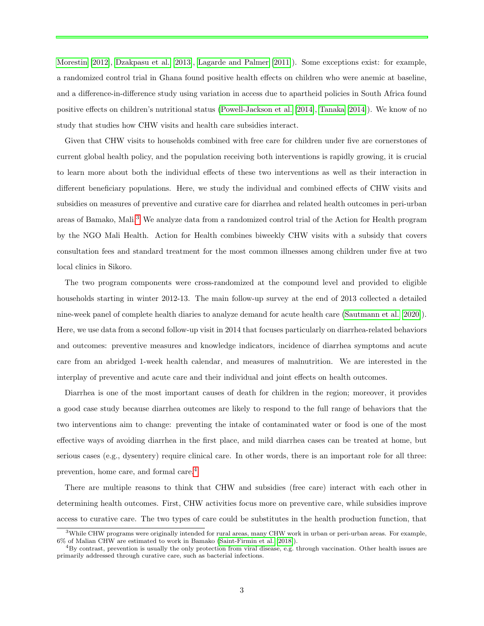[Morestin](#page-22-4) [\[2012\]](#page-22-4), [Dzakpasu et al.](#page-21-10) [\[2013\]](#page-21-10), [Lagarde and Palmer](#page-21-11) [\[2011\]](#page-21-11)). Some exceptions exist: for example, a randomized control trial in Ghana found positive health effects on children who were anemic at baseline, and a difference-in-difference study using variation in access due to apartheid policies in South Africa found positive effects on children's nutritional status [\(Powell-Jackson et al.](#page-22-5) [\[2014\]](#page-22-5), [Tanaka](#page-22-6) [\[2014\]](#page-22-6)). We know of no study that studies how CHW visits and health care subsidies interact.

Given that CHW visits to households combined with free care for children under five are cornerstones of current global health policy, and the population receiving both interventions is rapidly growing, it is crucial to learn more about both the individual effects of these two interventions as well as their interaction in different beneficiary populations. Here, we study the individual and combined effects of CHW visits and subsidies on measures of preventive and curative care for diarrhea and related health outcomes in peri-urban areas of Bamako, Mali.[3](#page-2-0) We analyze data from a randomized control trial of the Action for Health program by the NGO Mali Health. Action for Health combines biweekly CHW visits with a subsidy that covers consultation fees and standard treatment for the most common illnesses among children under five at two local clinics in Sikoro.

The two program components were cross-randomized at the compound level and provided to eligible households starting in winter 2012-13. The main follow-up survey at the end of 2013 collected a detailed nine-week panel of complete health diaries to analyze demand for acute health care [\(Sautmann et al.](#page-22-7) [\[2020\]](#page-22-7)). Here, we use data from a second follow-up visit in 2014 that focuses particularly on diarrhea-related behaviors and outcomes: preventive measures and knowledge indicators, incidence of diarrhea symptoms and acute care from an abridged 1-week health calendar, and measures of malnutrition. We are interested in the interplay of preventive and acute care and their individual and joint effects on health outcomes.

Diarrhea is one of the most important causes of death for children in the region; moreover, it provides a good case study because diarrhea outcomes are likely to respond to the full range of behaviors that the two interventions aim to change: preventing the intake of contaminated water or food is one of the most effective ways of avoiding diarrhea in the first place, and mild diarrhea cases can be treated at home, but serious cases (e.g., dysentery) require clinical care. In other words, there is an important role for all three: prevention, home care, and formal care.[4](#page-2-1)

There are multiple reasons to think that CHW and subsidies (free care) interact with each other in determining health outcomes. First, CHW activities focus more on preventive care, while subsidies improve access to curative care. The two types of care could be substitutes in the health production function, that

<span id="page-2-0"></span><sup>&</sup>lt;sup>3</sup>While CHW programs were originally intended for rural areas, many CHW work in urban or peri-urban areas. For example, 6% of Malian CHW are estimated to work in Bamako [\(Saint-Firmin et al.](#page-22-8) [\[2018\]](#page-22-8)).

<span id="page-2-1"></span> ${}^{4}$ By contrast, prevention is usually the only protection from viral disease, e.g. through vaccination. Other health issues are primarily addressed through curative care, such as bacterial infections.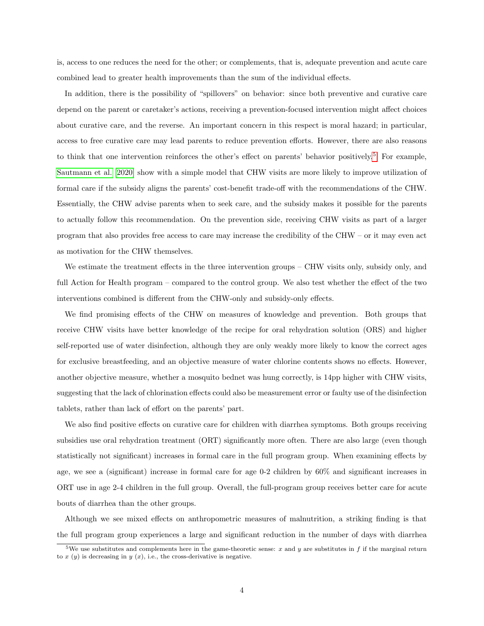is, access to one reduces the need for the other; or complements, that is, adequate prevention and acute care combined lead to greater health improvements than the sum of the individual effects.

In addition, there is the possibility of "spillovers" on behavior: since both preventive and curative care depend on the parent or caretaker's actions, receiving a prevention-focused intervention might affect choices about curative care, and the reverse. An important concern in this respect is moral hazard; in particular, access to free curative care may lead parents to reduce prevention efforts. However, there are also reasons to think that one intervention reinforces the other's effect on parents' behavior positively.<sup>[5](#page-3-0)</sup> For example, [Sautmann et al.](#page-22-7) [\[2020\]](#page-22-7) show with a simple model that CHW visits are more likely to improve utilization of formal care if the subsidy aligns the parents' cost-benefit trade-off with the recommendations of the CHW. Essentially, the CHW advise parents when to seek care, and the subsidy makes it possible for the parents to actually follow this recommendation. On the prevention side, receiving CHW visits as part of a larger program that also provides free access to care may increase the credibility of the CHW – or it may even act as motivation for the CHW themselves.

We estimate the treatment effects in the three intervention groups – CHW visits only, subsidy only, and full Action for Health program – compared to the control group. We also test whether the effect of the two interventions combined is different from the CHW-only and subsidy-only effects.

We find promising effects of the CHW on measures of knowledge and prevention. Both groups that receive CHW visits have better knowledge of the recipe for oral rehydration solution (ORS) and higher self-reported use of water disinfection, although they are only weakly more likely to know the correct ages for exclusive breastfeeding, and an objective measure of water chlorine contents shows no effects. However, another objective measure, whether a mosquito bednet was hung correctly, is 14pp higher with CHW visits, suggesting that the lack of chlorination effects could also be measurement error or faulty use of the disinfection tablets, rather than lack of effort on the parents' part.

We also find positive effects on curative care for children with diarrhea symptoms. Both groups receiving subsidies use oral rehydration treatment (ORT) significantly more often. There are also large (even though statistically not significant) increases in formal care in the full program group. When examining effects by age, we see a (significant) increase in formal care for age 0-2 children by 60% and significant increases in ORT use in age 2-4 children in the full group. Overall, the full-program group receives better care for acute bouts of diarrhea than the other groups.

Although we see mixed effects on anthropometric measures of malnutrition, a striking finding is that the full program group experiences a large and significant reduction in the number of days with diarrhea

<span id="page-3-0"></span><sup>&</sup>lt;sup>5</sup>We use substitutes and complements here in the game-theoretic sense: x and y are substitutes in f if the marginal return to  $x(y)$  is decreasing in  $y(x)$ , i.e., the cross-derivative is negative.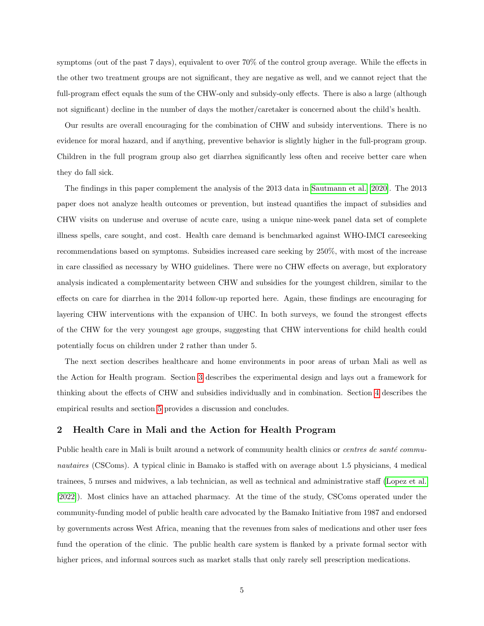symptoms (out of the past 7 days), equivalent to over 70% of the control group average. While the effects in the other two treatment groups are not significant, they are negative as well, and we cannot reject that the full-program effect equals the sum of the CHW-only and subsidy-only effects. There is also a large (although not significant) decline in the number of days the mother/caretaker is concerned about the child's health.

Our results are overall encouraging for the combination of CHW and subsidy interventions. There is no evidence for moral hazard, and if anything, preventive behavior is slightly higher in the full-program group. Children in the full program group also get diarrhea significantly less often and receive better care when they do fall sick.

The findings in this paper complement the analysis of the 2013 data in [Sautmann et al.](#page-22-7) [\[2020\]](#page-22-7). The 2013 paper does not analyze health outcomes or prevention, but instead quantifies the impact of subsidies and CHW visits on underuse and overuse of acute care, using a unique nine-week panel data set of complete illness spells, care sought, and cost. Health care demand is benchmarked against WHO-IMCI careseeking recommendations based on symptoms. Subsidies increased care seeking by 250%, with most of the increase in care classified as necessary by WHO guidelines. There were no CHW effects on average, but exploratory analysis indicated a complementarity between CHW and subsidies for the youngest children, similar to the effects on care for diarrhea in the 2014 follow-up reported here. Again, these findings are encouraging for layering CHW interventions with the expansion of UHC. In both surveys, we found the strongest effects of the CHW for the very youngest age groups, suggesting that CHW interventions for child health could potentially focus on children under 2 rather than under 5.

The next section describes healthcare and home environments in poor areas of urban Mali as well as the Action for Health program. Section [3](#page-6-0) describes the experimental design and lays out a framework for thinking about the effects of CHW and subsidies individually and in combination. Section [4](#page-10-0) describes the empirical results and section [5](#page-18-0) provides a discussion and concludes.

# 2 Health Care in Mali and the Action for Health Program

Public health care in Mali is built around a network of community health clinics or *centres de santé commu*nautaires (CSComs). A typical clinic in Bamako is staffed with on average about 1.5 physicians, 4 medical trainees, 5 nurses and midwives, a lab technician, as well as technical and administrative staff [\(Lopez et al.](#page-21-12) [\[2022\]](#page-21-12)). Most clinics have an attached pharmacy. At the time of the study, CSComs operated under the community-funding model of public health care advocated by the Bamako Initiative from 1987 and endorsed by governments across West Africa, meaning that the revenues from sales of medications and other user fees fund the operation of the clinic. The public health care system is flanked by a private formal sector with higher prices, and informal sources such as market stalls that only rarely sell prescription medications.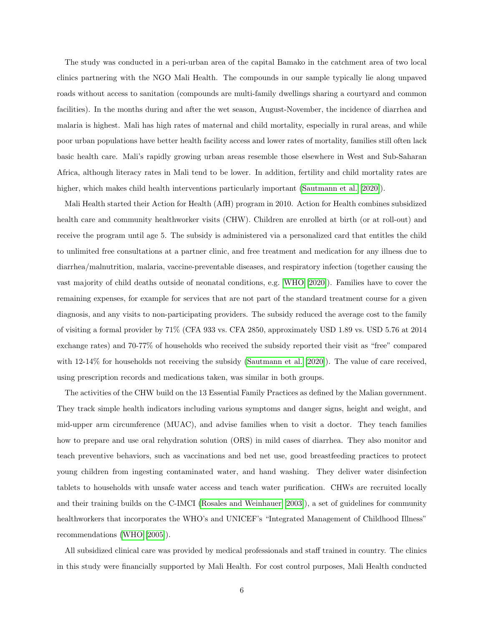The study was conducted in a peri-urban area of the capital Bamako in the catchment area of two local clinics partnering with the NGO Mali Health. The compounds in our sample typically lie along unpaved roads without access to sanitation (compounds are multi-family dwellings sharing a courtyard and common facilities). In the months during and after the wet season, August-November, the incidence of diarrhea and malaria is highest. Mali has high rates of maternal and child mortality, especially in rural areas, and while poor urban populations have better health facility access and lower rates of mortality, families still often lack basic health care. Mali's rapidly growing urban areas resemble those elsewhere in West and Sub-Saharan Africa, although literacy rates in Mali tend to be lower. In addition, fertility and child mortality rates are higher, which makes child health interventions particularly important [\(Sautmann et al.](#page-22-7) [\[2020\]](#page-22-7)).

Mali Health started their Action for Health (AfH) program in 2010. Action for Health combines subsidized health care and community healthworker visits (CHW). Children are enrolled at birth (or at roll-out) and receive the program until age 5. The subsidy is administered via a personalized card that entitles the child to unlimited free consultations at a partner clinic, and free treatment and medication for any illness due to diarrhea/malnutrition, malaria, vaccine-preventable diseases, and respiratory infection (together causing the vast majority of child deaths outside of neonatal conditions, e.g. [WHO](#page-22-9) [\[2020\]](#page-22-9)). Families have to cover the remaining expenses, for example for services that are not part of the standard treatment course for a given diagnosis, and any visits to non-participating providers. The subsidy reduced the average cost to the family of visiting a formal provider by 71% (CFA 933 vs. CFA 2850, approximately USD 1.89 vs. USD 5.76 at 2014 exchange rates) and 70-77% of households who received the subsidy reported their visit as "free" compared with 12-14% for households not receiving the subsidy [\(Sautmann et al.](#page-22-7) [\[2020\]](#page-22-7)). The value of care received, using prescription records and medications taken, was similar in both groups.

The activities of the CHW build on the 13 Essential Family Practices as defined by the Malian government. They track simple health indicators including various symptoms and danger signs, height and weight, and mid-upper arm circumference (MUAC), and advise families when to visit a doctor. They teach families how to prepare and use oral rehydration solution (ORS) in mild cases of diarrhea. They also monitor and teach preventive behaviors, such as vaccinations and bed net use, good breastfeeding practices to protect young children from ingesting contaminated water, and hand washing. They deliver water disinfection tablets to households with unsafe water access and teach water purification. CHWs are recruited locally and their training builds on the C-IMCI [\(Rosales and Weinhauer](#page-22-10) [\[2003\]](#page-22-10)), a set of guidelines for community healthworkers that incorporates the WHO's and UNICEF's "Integrated Management of Childhood Illness" recommendations [\(WHO](#page-22-11) [\[2005\]](#page-22-11)).

All subsidized clinical care was provided by medical professionals and staff trained in country. The clinics in this study were financially supported by Mali Health. For cost control purposes, Mali Health conducted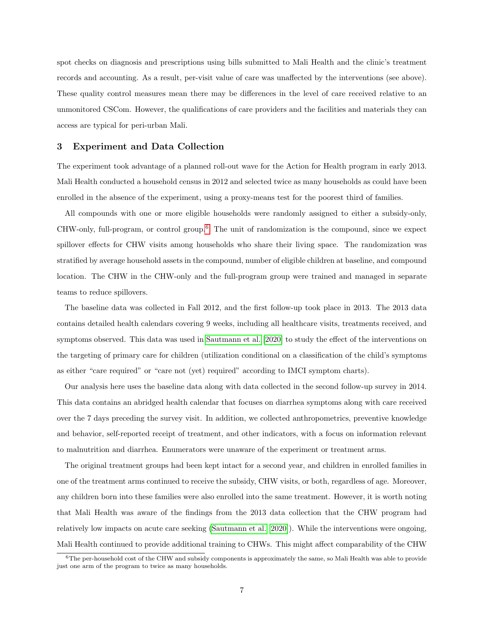spot checks on diagnosis and prescriptions using bills submitted to Mali Health and the clinic's treatment records and accounting. As a result, per-visit value of care was unaffected by the interventions (see above). These quality control measures mean there may be differences in the level of care received relative to an unmonitored CSCom. However, the qualifications of care providers and the facilities and materials they can access are typical for peri-urban Mali.

# <span id="page-6-0"></span>3 Experiment and Data Collection

The experiment took advantage of a planned roll-out wave for the Action for Health program in early 2013. Mali Health conducted a household census in 2012 and selected twice as many households as could have been enrolled in the absence of the experiment, using a proxy-means test for the poorest third of families.

All compounds with one or more eligible households were randomly assigned to either a subsidy-only, CHW-only, full-program, or control group.[6](#page-6-1) The unit of randomization is the compound, since we expect spillover effects for CHW visits among households who share their living space. The randomization was stratified by average household assets in the compound, number of eligible children at baseline, and compound location. The CHW in the CHW-only and the full-program group were trained and managed in separate teams to reduce spillovers.

The baseline data was collected in Fall 2012, and the first follow-up took place in 2013. The 2013 data contains detailed health calendars covering 9 weeks, including all healthcare visits, treatments received, and symptoms observed. This data was used in [Sautmann et al.](#page-22-7) [\[2020\]](#page-22-7) to study the effect of the interventions on the targeting of primary care for children (utilization conditional on a classification of the child's symptoms as either "care required" or "care not (yet) required" according to IMCI symptom charts).

Our analysis here uses the baseline data along with data collected in the second follow-up survey in 2014. This data contains an abridged health calendar that focuses on diarrhea symptoms along with care received over the 7 days preceding the survey visit. In addition, we collected anthropometrics, preventive knowledge and behavior, self-reported receipt of treatment, and other indicators, with a focus on information relevant to malnutrition and diarrhea. Enumerators were unaware of the experiment or treatment arms.

The original treatment groups had been kept intact for a second year, and children in enrolled families in one of the treatment arms continued to receive the subsidy, CHW visits, or both, regardless of age. Moreover, any children born into these families were also enrolled into the same treatment. However, it is worth noting that Mali Health was aware of the findings from the 2013 data collection that the CHW program had relatively low impacts on acute care seeking [\(Sautmann et al.](#page-22-7) [\[2020\]](#page-22-7)). While the interventions were ongoing, Mali Health continued to provide additional training to CHWs. This might affect comparability of the CHW

<span id="page-6-1"></span> $6$ The per-household cost of the CHW and subsidy components is approximately the same, so Mali Health was able to provide just one arm of the program to twice as many households.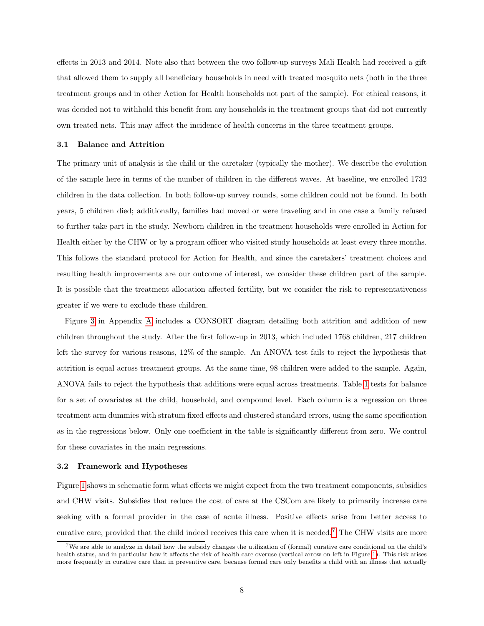effects in 2013 and 2014. Note also that between the two follow-up surveys Mali Health had received a gift that allowed them to supply all beneficiary households in need with treated mosquito nets (both in the three treatment groups and in other Action for Health households not part of the sample). For ethical reasons, it was decided not to withhold this benefit from any households in the treatment groups that did not currently own treated nets. This may affect the incidence of health concerns in the three treatment groups.

## 3.1 Balance and Attrition

The primary unit of analysis is the child or the caretaker (typically the mother). We describe the evolution of the sample here in terms of the number of children in the different waves. At baseline, we enrolled 1732 children in the data collection. In both follow-up survey rounds, some children could not be found. In both years, 5 children died; additionally, families had moved or were traveling and in one case a family refused to further take part in the study. Newborn children in the treatment households were enrolled in Action for Health either by the CHW or by a program officer who visited study households at least every three months. This follows the standard protocol for Action for Health, and since the caretakers' treatment choices and resulting health improvements are our outcome of interest, we consider these children part of the sample. It is possible that the treatment allocation affected fertility, but we consider the risk to representativeness greater if we were to exclude these children.

Figure [3](#page-23-0) in Appendix [A](#page-23-1) includes a CONSORT diagram detailing both attrition and addition of new children throughout the study. After the first follow-up in 2013, which included 1768 children, 217 children left the survey for various reasons, 12% of the sample. An ANOVA test fails to reject the hypothesis that attrition is equal across treatment groups. At the same time, 98 children were added to the sample. Again, ANOVA fails to reject the hypothesis that additions were equal across treatments. Table [1](#page-8-0) tests for balance for a set of covariates at the child, household, and compound level. Each column is a regression on three treatment arm dummies with stratum fixed effects and clustered standard errors, using the same specification as in the regressions below. Only one coefficient in the table is significantly different from zero. We control for these covariates in the main regressions.

#### 3.2 Framework and Hypotheses

Figure [1](#page-9-0) shows in schematic form what effects we might expect from the two treatment components, subsidies and CHW visits. Subsidies that reduce the cost of care at the CSCom are likely to primarily increase care seeking with a formal provider in the case of acute illness. Positive effects arise from better access to curative care, provided that the child indeed receives this care when it is needed.[7](#page-7-0) The CHW visits are more

<span id="page-7-0"></span><sup>7</sup>We are able to analyze in detail how the subsidy changes the utilization of (formal) curative care conditional on the child's health status, and in particular how it affects the risk of health care overuse (vertical arrow on left in Figure [1\)](#page-9-0). This risk arises more frequently in curative care than in preventive care, because formal care only benefits a child with an illness that actually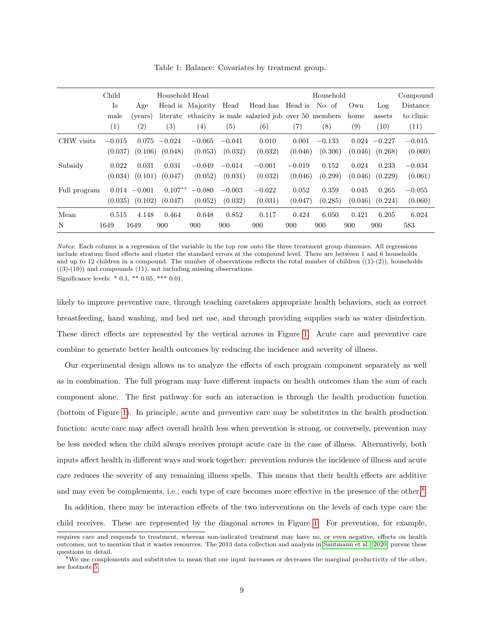|              | Child<br>Household Head |                   |                   |                   | Household |                                                |          |          | Compound |                     |           |
|--------------|-------------------------|-------------------|-------------------|-------------------|-----------|------------------------------------------------|----------|----------|----------|---------------------|-----------|
|              | Is                      | Age               |                   | Head is Majority  | Head      | Head has                                       | Head is  | No. of   | Own      | Log                 | Distance  |
|              | male                    | (years)           | literate          |                   |           | ethnicity is male salaried job over 50 members |          |          | home     | assets              | to clinic |
|              | (1)                     | $\left( 2\right)$ | $\left( 3\right)$ | $\left( 4\right)$ | (5)       | (6)                                            | (7)      | $^{(8)}$ | (9)      | (10)                | (11)      |
| CHW visits   | $-0.015$                |                   | $0.075 -0.024$    | $-0.065$          | $-0.041$  | 0.010                                          | 0.001    | $-0.133$ |          | $0.024 - 0.227$     | $-0.015$  |
|              | (0.037)                 | (0.106)           | (0.048)           | (0.053)           | (0.032)   | (0.032)                                        | (0.046)  | (0.306)  |          | $(0.046)$ $(0.268)$ | (0.060)   |
| Subsidy      | 0.022                   | 0.031             | 0.031             | $-0.049$          | $-0.014$  | $-0.001$                                       | $-0.019$ | 0.152    | 0.024    | 0.233               | $-0.034$  |
|              | (0.034)                 | (0.101)           | (0.047)           | (0.052)           | (0.031)   | (0.032)                                        | (0.046)  | (0.299)  | (0.046)  | (0.229)             | (0.061)   |
| Full program |                         | $0.014 - 0.001$   | $0.107**$         | $-0.080$          | $-0.003$  | $-0.022$                                       | 0.052    | 0.359    | 0.045    | 0.265               | $-0.055$  |
|              | (0.035)                 | (0.102)           | (0.047)           | (0.052)           | (0.032)   | (0.031)                                        | (0.047)  | (0.285)  | (0.046)  | (0.224)             | (0.060)   |
| Mean         | 0.515                   | 4.148             | 0.464             | 0.648             | 0.852     | 0.117                                          | 0.424    | 6.050    | 0.421    | 6.205               | 6.024     |
| N            | 1649                    | 1649              | 900               | 900               | 900       | 900                                            | 900      | 900      | 900      | 900                 | 583       |

<span id="page-8-0"></span>Table 1: Balance: Covariates by treatment group.

Notes: Each column is a regression of the variable in the top row onto the three treatment group dummies. All regressions include stratum fixed effects and cluster the standard errors at the compound level. There are between 1 and 6 households and up to 12 children in a compound. The number of observations reflects the total number of children  $((1)-(2))$ , households  $((3)-(10))$  and compounds  $(11)$ , not including missing observations. Significance levels:  $* 0.1$ ,  $** 0.05$ ,  $*** 0.01$ .

likely to improve preventive care, through teaching caretakers appropriate health behaviors, such as correct breastfeeding, hand washing, and bed net use, and through providing supplies such as water disinfection. These direct effects are represented by the vertical arrows in Figure [1.](#page-9-0) Acute care and preventive care combine to generate better health outcomes by reducing the incidence and severity of illness.

Our experimental design allows us to analyze the effects of each program component separately as well as in combination. The full program may have different impacts on health outcomes than the sum of each component alone. The first pathway for such an interaction is through the health production function (bottom of Figure [1\)](#page-9-0). In principle, acute and preventive care may be substitutes in the health production function: acute care may affect overall health less when prevention is strong, or conversely, prevention may be less needed when the child always receives prompt acute care in the case of illness. Alternatively, both inputs affect health in different ways and work together: prevention reduces the incidence of illness and acute care reduces the severity of any remaining illness spells. This means that their health effects are additive and may even be complements, i.e., each type of care becomes more effective in the presence of the other.<sup>[8](#page-8-1)</sup>

In addition, there may be interaction effects of the two interventions on the levels of each type care the child receives. These are represented by the diagonal arrows in Figure [1.](#page-9-0) For prevention, for example,

requires care and responds to treatment, whereas non-indicated treatment may have no, or even negative, effects on health outcomes, not to mention that it wastes resources. The 2013 data collection and analysis in [Sautmann et al.](#page-22-7) [\[2020\]](#page-22-7) pursue these questions in detail.

<span id="page-8-1"></span> $8$ We use complements and substitutes to mean that one input increases or decreases the marginal productivity of the other, see footnote [5.](#page-3-0)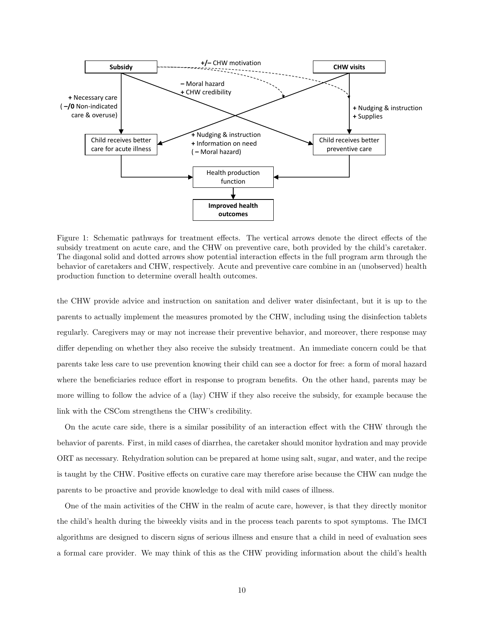

<span id="page-9-0"></span>Figure 1: Schematic pathways for treatment effects. The vertical arrows denote the direct effects of the subsidy treatment on acute care, and the CHW on preventive care, both provided by the child's caretaker. The diagonal solid and dotted arrows show potential interaction effects in the full program arm through the behavior of caretakers and CHW, respectively. Acute and preventive care combine in an (unobserved) health production function to determine overall health outcomes.

the CHW provide advice and instruction on sanitation and deliver water disinfectant, but it is up to the parents to actually implement the measures promoted by the CHW, including using the disinfection tablets regularly. Caregivers may or may not increase their preventive behavior, and moreover, there response may differ depending on whether they also receive the subsidy treatment. An immediate concern could be that parents take less care to use prevention knowing their child can see a doctor for free: a form of moral hazard where the beneficiaries reduce effort in response to program benefits. On the other hand, parents may be more willing to follow the advice of a (lay) CHW if they also receive the subsidy, for example because the link with the CSCom strengthens the CHW's credibility.

On the acute care side, there is a similar possibility of an interaction effect with the CHW through the behavior of parents. First, in mild cases of diarrhea, the caretaker should monitor hydration and may provide ORT as necessary. Rehydration solution can be prepared at home using salt, sugar, and water, and the recipe is taught by the CHW. Positive effects on curative care may therefore arise because the CHW can nudge the parents to be proactive and provide knowledge to deal with mild cases of illness.

One of the main activities of the CHW in the realm of acute care, however, is that they directly monitor the child's health during the biweekly visits and in the process teach parents to spot symptoms. The IMCI algorithms are designed to discern signs of serious illness and ensure that a child in need of evaluation sees a formal care provider. We may think of this as the CHW providing information about the child's health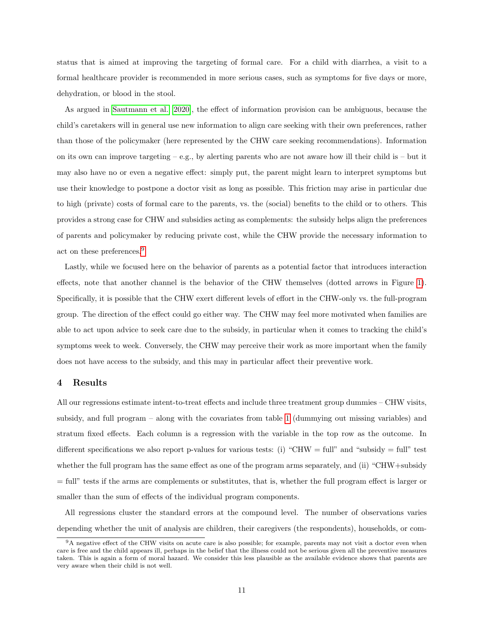status that is aimed at improving the targeting of formal care. For a child with diarrhea, a visit to a formal healthcare provider is recommended in more serious cases, such as symptoms for five days or more, dehydration, or blood in the stool.

As argued in [Sautmann et al.](#page-22-7) [\[2020\]](#page-22-7), the effect of information provision can be ambiguous, because the child's caretakers will in general use new information to align care seeking with their own preferences, rather than those of the policymaker (here represented by the CHW care seeking recommendations). Information on its own can improve targeting – e.g., by alerting parents who are not aware how ill their child is – but it may also have no or even a negative effect: simply put, the parent might learn to interpret symptoms but use their knowledge to postpone a doctor visit as long as possible. This friction may arise in particular due to high (private) costs of formal care to the parents, vs. the (social) benefits to the child or to others. This provides a strong case for CHW and subsidies acting as complements: the subsidy helps align the preferences of parents and policymaker by reducing private cost, while the CHW provide the necessary information to act on these preferences.[9](#page-10-1)

Lastly, while we focused here on the behavior of parents as a potential factor that introduces interaction effects, note that another channel is the behavior of the CHW themselves (dotted arrows in Figure [1\)](#page-9-0). Specifically, it is possible that the CHW exert different levels of effort in the CHW-only vs. the full-program group. The direction of the effect could go either way. The CHW may feel more motivated when families are able to act upon advice to seek care due to the subsidy, in particular when it comes to tracking the child's symptoms week to week. Conversely, the CHW may perceive their work as more important when the family does not have access to the subsidy, and this may in particular affect their preventive work.

## <span id="page-10-0"></span>4 Results

All our regressions estimate intent-to-treat effects and include three treatment group dummies – CHW visits, subsidy, and full program – along with the covariates from table [1](#page-8-0) (dummying out missing variables) and stratum fixed effects. Each column is a regression with the variable in the top row as the outcome. In different specifications we also report p-values for various tests: (i) "CHW = full" and "subsidy = full" test whether the full program has the same effect as one of the program arms separately, and (ii) "CHW+subsidy = full" tests if the arms are complements or substitutes, that is, whether the full program effect is larger or smaller than the sum of effects of the individual program components.

All regressions cluster the standard errors at the compound level. The number of observations varies depending whether the unit of analysis are children, their caregivers (the respondents), households, or com-

<span id="page-10-1"></span><sup>&</sup>lt;sup>9</sup>A negative effect of the CHW visits on acute care is also possible; for example, parents may not visit a doctor even when care is free and the child appears ill, perhaps in the belief that the illness could not be serious given all the preventive measures taken. This is again a form of moral hazard. We consider this less plausible as the available evidence shows that parents are very aware when their child is not well.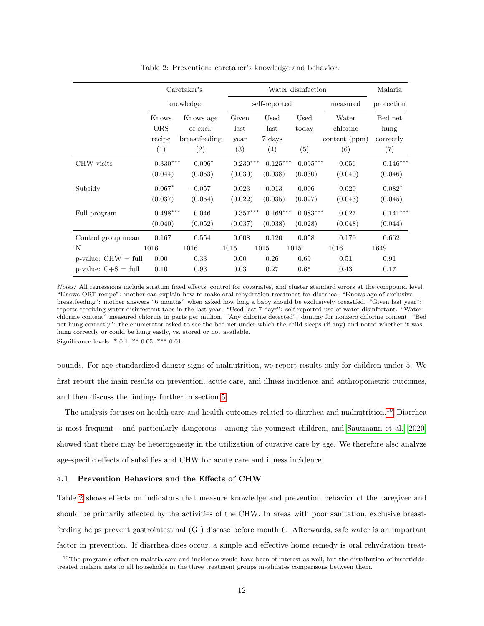|                          |                                      | Caretaker's                                   |                              | Water disinfection            |                      |                                           |                                     |  |
|--------------------------|--------------------------------------|-----------------------------------------------|------------------------------|-------------------------------|----------------------|-------------------------------------------|-------------------------------------|--|
|                          |                                      | knowledge                                     |                              | self-reported                 |                      | measured                                  | protection                          |  |
|                          | Knows<br><b>ORS</b><br>recipe<br>(1) | Knows age<br>of excl.<br>breastfeeding<br>(2) | Given<br>last<br>year<br>(3) | Used<br>last<br>7 days<br>(4) | Used<br>today<br>(5) | Water<br>chlorine<br>content (ppm)<br>(6) | Bed net<br>hung<br>correctly<br>(7) |  |
| CHW visits               | $0.330^{***}\,$                      | $0.096*$                                      | $0.230***$                   | $0.125***$                    | $0.095***$           | 0.056                                     | $0.146***$                          |  |
|                          | (0.044)                              | (0.053)                                       | (0.030)                      | (0.038)                       | (0.030)              | (0.040)                                   | (0.046)                             |  |
| Subsidy                  | $0.067*$                             | $-0.057$                                      | 0.023                        | $-0.013$                      | 0.006                | 0.020                                     | $0.082*$                            |  |
|                          | (0.037)                              | (0.054)                                       | (0.022)                      | (0.035)                       | (0.027)              | (0.043)                                   | (0.045)                             |  |
| Full program             | $0.498***$                           | 0.046                                         | $0.357***$                   | $0.169***$                    | $0.083***$           | 0.027                                     | $0.141***$                          |  |
|                          | (0.040)                              | (0.052)                                       | (0.037)                      | (0.038)                       | (0.028)              | (0.048)                                   | (0.044)                             |  |
| Control group mean       | 0.167                                | 0.554                                         | 0.008                        | 0.120                         | 0.058                | 0.170                                     | 0.662                               |  |
| N                        | 1016                                 | 1016                                          | 1015                         | 1015                          | 1015                 | 1016                                      | 1649                                |  |
| $p$ -value: $CHW = full$ | 0.00                                 | 0.33                                          | 0.00                         | 0.26                          | 0.69                 | 0.51                                      | 0.91                                |  |
| p-value: $C+S = full$    | 0.10                                 | 0.93                                          | 0.03                         | 0.27                          | 0.65                 | 0.43                                      | 0.17                                |  |

<span id="page-11-1"></span>Table 2: Prevention: caretaker's knowledge and behavior.

Notes: All regressions include stratum fixed effects, control for covariates, and cluster standard errors at the compound level. "Knows ORT recipe": mother can explain how to make oral rehydration treatment for diarrhea. "Knows age of exclusive breastfeeding": mother answers "6 months" when asked how long a baby should be exclusively breastfed. "Given last year": reports receiving water disinfectant tabs in the last year. "Used last 7 days": self-reported use of water disinfectant. "Water chlorine content" measured chlorine in parts per million. "Any chlorine detected": dummy for nonzero chlorine content. "Bed net hung correctly": the enumerator asked to see the bed net under which the child sleeps (if any) and noted whether it was hung correctly or could be hung easily, vs. stored or not available. Significance levels:  $* 0.1$ ,  $** 0.05$ ,  $*** 0.01$ .

pounds. For age-standardized danger signs of malnutrition, we report results only for children under 5. We first report the main results on prevention, acute care, and illness incidence and anthropometric outcomes, and then discuss the findings further in section [5.](#page-18-0)

The analysis focuses on health care and health outcomes related to diarrhea and malnutrition.[10](#page-11-0) Diarrhea is most frequent - and particularly dangerous - among the youngest children, and [Sautmann et al.](#page-22-7) [\[2020\]](#page-22-7) showed that there may be heterogeneity in the utilization of curative care by age. We therefore also analyze age-specific effects of subsidies and CHW for acute care and illness incidence.

## 4.1 Prevention Behaviors and the Effects of CHW

Table [2](#page-11-1) shows effects on indicators that measure knowledge and prevention behavior of the caregiver and should be primarily affected by the activities of the CHW. In areas with poor sanitation, exclusive breastfeeding helps prevent gastrointestinal (GI) disease before month 6. Afterwards, safe water is an important factor in prevention. If diarrhea does occur, a simple and effective home remedy is oral rehydration treat-

<span id="page-11-0"></span><sup>10</sup>The program's effect on malaria care and incidence would have been of interest as well, but the distribution of insecticidetreated malaria nets to all households in the three treatment groups invalidates comparisons between them.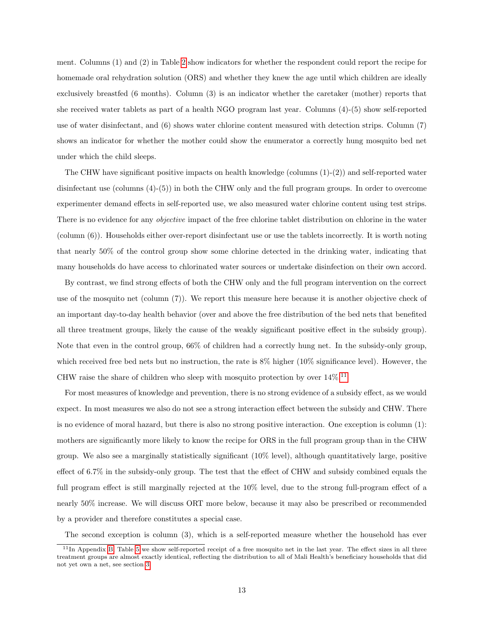ment. Columns (1) and (2) in Table [2](#page-11-1) show indicators for whether the respondent could report the recipe for homemade oral rehydration solution (ORS) and whether they knew the age until which children are ideally exclusively breastfed (6 months). Column (3) is an indicator whether the caretaker (mother) reports that she received water tablets as part of a health NGO program last year. Columns (4)-(5) show self-reported use of water disinfectant, and (6) shows water chlorine content measured with detection strips. Column (7) shows an indicator for whether the mother could show the enumerator a correctly hung mosquito bed net under which the child sleeps.

The CHW have significant positive impacts on health knowledge (columns (1)-(2)) and self-reported water disinfectant use (columns (4)-(5)) in both the CHW only and the full program groups. In order to overcome experimenter demand effects in self-reported use, we also measured water chlorine content using test strips. There is no evidence for any objective impact of the free chlorine tablet distribution on chlorine in the water (column (6)). Households either over-report disinfectant use or use the tablets incorrectly. It is worth noting that nearly 50% of the control group show some chlorine detected in the drinking water, indicating that many households do have access to chlorinated water sources or undertake disinfection on their own accord.

By contrast, we find strong effects of both the CHW only and the full program intervention on the correct use of the mosquito net (column (7)). We report this measure here because it is another objective check of an important day-to-day health behavior (over and above the free distribution of the bed nets that benefited all three treatment groups, likely the cause of the weakly significant positive effect in the subsidy group). Note that even in the control group, 66% of children had a correctly hung net. In the subsidy-only group, which received free bed nets but no instruction, the rate is  $8\%$  higher (10% significance level). However, the CHW raise the share of children who sleep with mosquito protection by over  $14\%$ .<sup>[11](#page-12-0)</sup>

For most measures of knowledge and prevention, there is no strong evidence of a subsidy effect, as we would expect. In most measures we also do not see a strong interaction effect between the subsidy and CHW. There is no evidence of moral hazard, but there is also no strong positive interaction. One exception is column (1): mothers are significantly more likely to know the recipe for ORS in the full program group than in the CHW group. We also see a marginally statistically significant (10% level), although quantitatively large, positive effect of 6.7% in the subsidy-only group. The test that the effect of CHW and subsidy combined equals the full program effect is still marginally rejected at the 10% level, due to the strong full-program effect of a nearly 50% increase. We will discuss ORT more below, because it may also be prescribed or recommended by a provider and therefore constitutes a special case.

The second exception is column (3), which is a self-reported measure whether the household has ever

<span id="page-12-0"></span> $11$ In Appendix [B,](#page-24-0) Table [5](#page-25-0) we show self-reported receipt of a free mosquito net in the last year. The effect sizes in all three treatment groups are almost exactly identical, reflecting the distribution to all of Mali Health's beneficiary households that did not yet own a net, see section [3.](#page-6-0)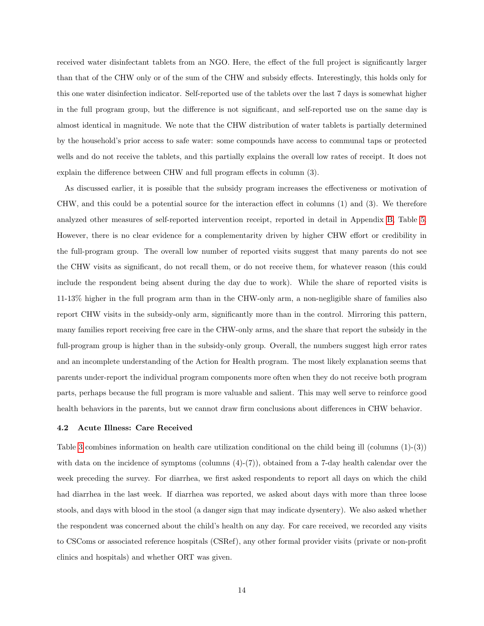received water disinfectant tablets from an NGO. Here, the effect of the full project is significantly larger than that of the CHW only or of the sum of the CHW and subsidy effects. Interestingly, this holds only for this one water disinfection indicator. Self-reported use of the tablets over the last 7 days is somewhat higher in the full program group, but the difference is not significant, and self-reported use on the same day is almost identical in magnitude. We note that the CHW distribution of water tablets is partially determined by the household's prior access to safe water: some compounds have access to communal taps or protected wells and do not receive the tablets, and this partially explains the overall low rates of receipt. It does not explain the difference between CHW and full program effects in column (3).

As discussed earlier, it is possible that the subsidy program increases the effectiveness or motivation of CHW, and this could be a potential source for the interaction effect in columns (1) and (3). We therefore analyzed other measures of self-reported intervention receipt, reported in detail in Appendix [B,](#page-24-0) Table [5.](#page-25-0) However, there is no clear evidence for a complementarity driven by higher CHW effort or credibility in the full-program group. The overall low number of reported visits suggest that many parents do not see the CHW visits as significant, do not recall them, or do not receive them, for whatever reason (this could include the respondent being absent during the day due to work). While the share of reported visits is 11-13% higher in the full program arm than in the CHW-only arm, a non-negligible share of families also report CHW visits in the subsidy-only arm, significantly more than in the control. Mirroring this pattern, many families report receiving free care in the CHW-only arms, and the share that report the subsidy in the full-program group is higher than in the subsidy-only group. Overall, the numbers suggest high error rates and an incomplete understanding of the Action for Health program. The most likely explanation seems that parents under-report the individual program components more often when they do not receive both program parts, perhaps because the full program is more valuable and salient. This may well serve to reinforce good health behaviors in the parents, but we cannot draw firm conclusions about differences in CHW behavior.

#### 4.2 Acute Illness: Care Received

Table [3](#page-14-0) combines information on health care utilization conditional on the child being ill (columns (1)-(3)) with data on the incidence of symptoms (columns  $(4)-(7)$ ), obtained from a 7-day health calendar over the week preceding the survey. For diarrhea, we first asked respondents to report all days on which the child had diarrhea in the last week. If diarrhea was reported, we asked about days with more than three loose stools, and days with blood in the stool (a danger sign that may indicate dysentery). We also asked whether the respondent was concerned about the child's health on any day. For care received, we recorded any visits to CSComs or associated reference hospitals (CSRef), any other formal provider visits (private or non-profit clinics and hospitals) and whether ORT was given.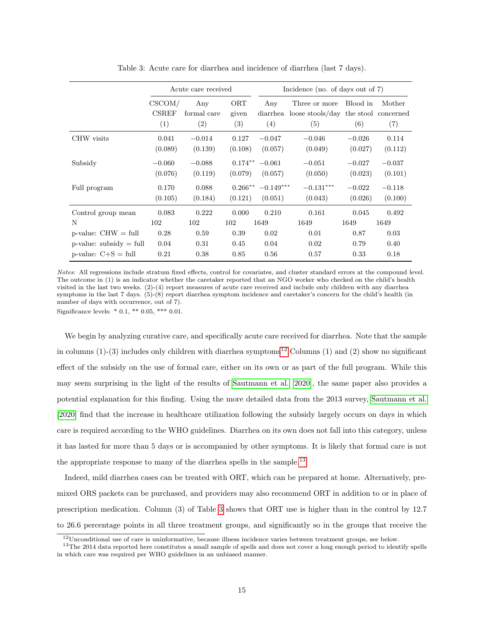|                            |                               | Acute care received       |                     | Incidence (no. of days out of $7$ ) |                                                                       |                 |               |  |
|----------------------------|-------------------------------|---------------------------|---------------------|-------------------------------------|-----------------------------------------------------------------------|-----------------|---------------|--|
|                            | CSCOM/<br><b>CSREF</b><br>(1) | Any<br>formal care<br>(2) | ORT<br>given<br>(3) | Any<br>(4)                          | Three or more<br>diarrhea loose stools/day the stool concerned<br>(5) | Blood in<br>(6) | Mother<br>(7) |  |
| CHW visits                 | 0.041                         | $-0.014$                  | 0.127               | $-0.047$                            | $-0.046$                                                              | $-0.026$        | 0.114         |  |
|                            | (0.089)                       | (0.139)                   | (0.108)             | (0.057)                             | (0.049)                                                               | (0.027)         | (0.112)       |  |
| Subsidy                    | $-0.060$                      | $-0.088$                  | $0.174***$          | $-0.061$                            | $-0.051$                                                              | $-0.027$        | $-0.037$      |  |
|                            | (0.076)                       | (0.119)                   | (0.079)             | (0.057)                             | (0.050)                                                               | (0.023)         | (0.101)       |  |
| Full program               | 0.170                         | 0.088                     | $0.266***$          | $-0.149***$                         | $-0.131***$                                                           | $-0.022$        | $-0.118$      |  |
|                            | (0.105)                       | (0.184)                   | (0.121)             | (0.051)                             | (0.043)                                                               | (0.026)         | (0.100)       |  |
| Control group mean         | 0.083                         | 0.222                     | 0.000               | 0.210                               | 0.161                                                                 | 0.045           | 0.492         |  |
| N                          | 102                           | 102                       | 102                 | 1649                                | 1649                                                                  | 1649            | 1649          |  |
| $p$ -value: $CHW = full$   | 0.28                          | 0.59                      | 0.39                | 0.02                                | 0.01                                                                  | 0.87            | 0.03          |  |
| $p$ -value: subsidy = full | 0.04                          | 0.31                      | 0.45                | 0.04                                | 0.02                                                                  | 0.79            | 0.40          |  |
| p-value: $C+S = full$      | 0.21                          | 0.38                      | 0.85                | 0.56                                | 0.57                                                                  | 0.33            | 0.18          |  |

<span id="page-14-0"></span>Table 3: Acute care for diarrhea and incidence of diarrhea (last 7 days).

Notes: All regressions include stratum fixed effects, control for covariates, and cluster standard errors at the compound level. The outcome in (1) is an indicator whether the caretaker reported that an NGO worker who checked on the child's health visited in the last two weeks. (2)-(4) report measures of acute care received and include only children with any diarrhea symptoms in the last 7 days. (5)-(8) report diarrhea symptom incidence and caretaker's concern for the child's health (in number of days with occurrence, out of 7).

Significance levels: \* 0.1, \*\* 0.05, \*\*\* 0.01.

We begin by analyzing curative care, and specifically acute care received for diarrhea. Note that the sample in columns  $(1)-(3)$  includes only children with diarrhea symptoms<sup>[12](#page-14-1)</sup> Columns  $(1)$  and  $(2)$  show no significant effect of the subsidy on the use of formal care, either on its own or as part of the full program. While this may seem surprising in the light of the results of [Sautmann et al.](#page-22-7) [\[2020\]](#page-22-7), the same paper also provides a potential explanation for this finding. Using the more detailed data from the 2013 survey, [Sautmann et al.](#page-22-7) [\[2020\]](#page-22-7) find that the increase in healthcare utilization following the subsidy largely occurs on days in which care is required according to the WHO guidelines. Diarrhea on its own does not fall into this category, unless it has lasted for more than 5 days or is accompanied by other symptoms. It is likely that formal care is not the appropriate response to many of the diarrhea spells in the sample.<sup>[13](#page-14-2)</sup>

Indeed, mild diarrhea cases can be treated with ORT, which can be prepared at home. Alternatively, premixed ORS packets can be purchased, and providers may also recommend ORT in addition to or in place of prescription medication. Column (3) of Table [3](#page-14-0) shows that ORT use is higher than in the control by 12.7 to 26.6 percentage points in all three treatment groups, and significantly so in the groups that receive the

<span id="page-14-2"></span><span id="page-14-1"></span> $12$ Unconditional use of care is uninformative, because illness incidence varies between treatment groups, see below.

 $13$ The 2014 data reported here constitutes a small sample of spells and does not cover a long enough period to identify spells in which care was required per WHO guidelines in an unbiased manner.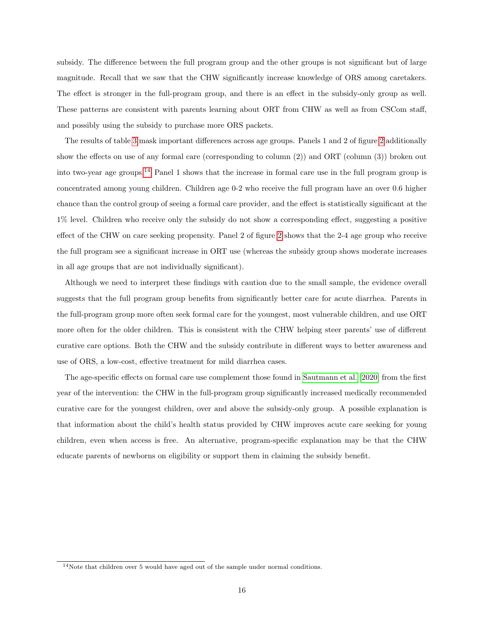subsidy. The difference between the full program group and the other groups is not significant but of large magnitude. Recall that we saw that the CHW significantly increase knowledge of ORS among caretakers. The effect is stronger in the full-program group, and there is an effect in the subsidy-only group as well. These patterns are consistent with parents learning about ORT from CHW as well as from CSCom staff, and possibly using the subsidy to purchase more ORS packets.

The results of table [3](#page-14-0) mask important differences across age groups. Panels 1 and 2 of figure [2](#page-16-0) additionally show the effects on use of any formal care (corresponding to column (2)) and ORT (column (3)) broken out into two-year age groups.[14](#page-15-0) Panel 1 shows that the increase in formal care use in the full program group is concentrated among young children. Children age 0-2 who receive the full program have an over 0.6 higher chance than the control group of seeing a formal care provider, and the effect is statistically significant at the 1% level. Children who receive only the subsidy do not show a corresponding effect, suggesting a positive effect of the CHW on care seeking propensity. Panel 2 of figure [2](#page-16-0) shows that the 2-4 age group who receive the full program see a significant increase in ORT use (whereas the subsidy group shows moderate increases in all age groups that are not individually significant).

Although we need to interpret these findings with caution due to the small sample, the evidence overall suggests that the full program group benefits from significantly better care for acute diarrhea. Parents in the full-program group more often seek formal care for the youngest, most vulnerable children, and use ORT more often for the older children. This is consistent with the CHW helping steer parents' use of different curative care options. Both the CHW and the subsidy contribute in different ways to better awareness and use of ORS, a low-cost, effective treatment for mild diarrhea cases.

The age-specific effects on formal care use complement those found in [Sautmann et al.](#page-22-7) [\[2020\]](#page-22-7) from the first year of the intervention: the CHW in the full-program group significantly increased medically recommended curative care for the youngest children, over and above the subsidy-only group. A possible explanation is that information about the child's health status provided by CHW improves acute care seeking for young children, even when access is free. An alternative, program-specific explanation may be that the CHW educate parents of newborns on eligibility or support them in claiming the subsidy benefit.

<span id="page-15-0"></span><sup>14</sup>Note that children over 5 would have aged out of the sample under normal conditions.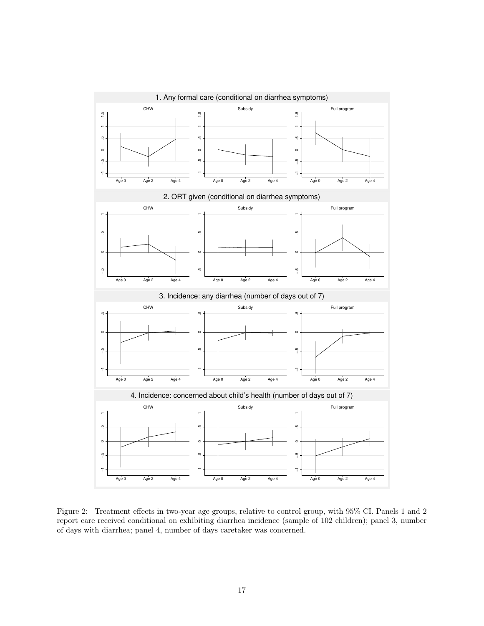

<span id="page-16-0"></span>Figure 2: Treatment effects in two-year age groups, relative to control group, with 95% CI. Panels 1 and 2 report care received conditional on exhibiting diarrhea incidence (sample of 102 children); panel 3, number of days with diarrhea; panel 4, number of days caretaker was concerned.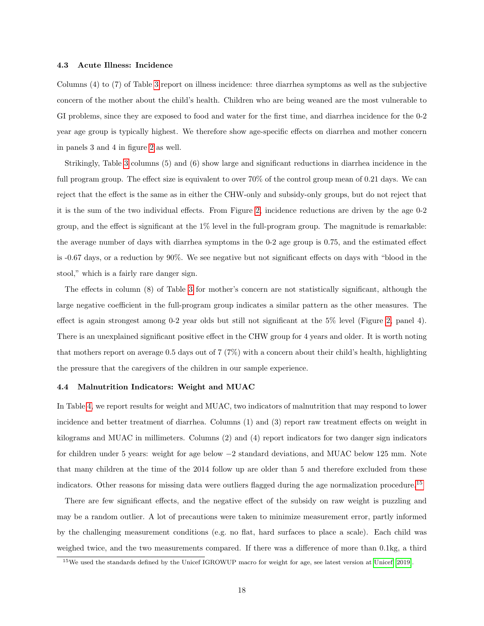## 4.3 Acute Illness: Incidence

Columns (4) to (7) of Table [3](#page-14-0) report on illness incidence: three diarrhea symptoms as well as the subjective concern of the mother about the child's health. Children who are being weaned are the most vulnerable to GI problems, since they are exposed to food and water for the first time, and diarrhea incidence for the 0-2 year age group is typically highest. We therefore show age-specific effects on diarrhea and mother concern in panels 3 and 4 in figure [2](#page-16-0) as well.

Strikingly, Table [3](#page-14-0) columns (5) and (6) show large and significant reductions in diarrhea incidence in the full program group. The effect size is equivalent to over 70% of the control group mean of 0.21 days. We can reject that the effect is the same as in either the CHW-only and subsidy-only groups, but do not reject that it is the sum of the two individual effects. From Figure [2,](#page-16-0) incidence reductions are driven by the age 0-2 group, and the effect is significant at the 1% level in the full-program group. The magnitude is remarkable: the average number of days with diarrhea symptoms in the 0-2 age group is 0.75, and the estimated effect is -0.67 days, or a reduction by 90%. We see negative but not significant effects on days with "blood in the stool," which is a fairly rare danger sign.

The effects in column (8) of Table [3](#page-14-0) for mother's concern are not statistically significant, although the large negative coefficient in the full-program group indicates a similar pattern as the other measures. The effect is again strongest among 0-2 year olds but still not significant at the 5% level (Figure [2,](#page-16-0) panel 4). There is an unexplained significant positive effect in the CHW group for 4 years and older. It is worth noting that mothers report on average 0.5 days out of 7 (7%) with a concern about their child's health, highlighting the pressure that the caregivers of the children in our sample experience.

## 4.4 Malnutrition Indicators: Weight and MUAC

In Table [4,](#page-18-1) we report results for weight and MUAC, two indicators of malnutrition that may respond to lower incidence and better treatment of diarrhea. Columns (1) and (3) report raw treatment effects on weight in kilograms and MUAC in millimeters. Columns (2) and (4) report indicators for two danger sign indicators for children under 5 years: weight for age below −2 standard deviations, and MUAC below 125 mm. Note that many children at the time of the 2014 follow up are older than 5 and therefore excluded from these indicators. Other reasons for missing data were outliers flagged during the age normalization procedure.<sup>[15](#page-17-0)</sup>

There are few significant effects, and the negative effect of the subsidy on raw weight is puzzling and may be a random outlier. A lot of precautions were taken to minimize measurement error, partly informed by the challenging measurement conditions (e.g. no flat, hard surfaces to place a scale). Each child was weighed twice, and the two measurements compared. If there was a difference of more than 0.1kg, a third

<span id="page-17-0"></span><sup>15</sup>We used the standards defined by the Unicef IGROWUP macro for weight for age, see latest version at [Unicef](#page-22-12) [\[2019\]](#page-22-12).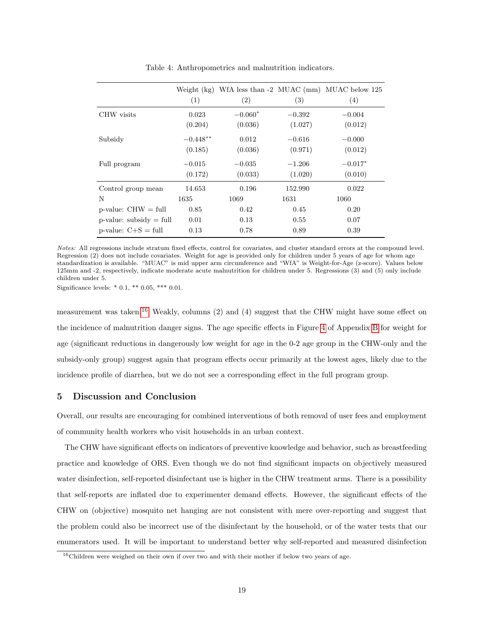|                            | (1)        | (2)       | (3)      | Weight $(kg)$ WfA less than $-2$ MUAC (mm) MUAC below 125<br>(4) |
|----------------------------|------------|-----------|----------|------------------------------------------------------------------|
| CHW visits                 | 0.023      | $-0.060*$ | $-0.392$ | $-0.004$                                                         |
|                            | (0.204)    | (0.036)   | (1.027)  | (0.012)                                                          |
| Subsidy                    | $-0.448**$ | 0.012     | $-0.616$ | $-0.000$                                                         |
|                            | (0.185)    | (0.036)   | (0.971)  | (0.012)                                                          |
| Full program               | $-0.015$   | $-0.035$  | $-1.206$ | $-0.017*$                                                        |
|                            | (0.172)    | (0.033)   | (1.020)  | (0.010)                                                          |
| Control group mean         | 14.653     | 0.196     | 152.990  | 0.022                                                            |
| N                          | 1635       | 1069      | 1631     | 1060                                                             |
| $p$ -value: $CHW = full$   | 0.85       | 0.42      | 0.45     | 0.20                                                             |
| $p$ -value: subsidy = full | 0.01       | 0.13      | 0.55     | 0.07                                                             |
| p-value: $C+S = full$      | 0.13       | 0.78      | 0.89     | 0.39                                                             |

<span id="page-18-1"></span>Table 4: Anthropometrics and malnutrition indicators.

Notes: All regressions include stratum fixed effects, control for covariates, and cluster standard errors at the compound level. Regression  $(2)$  does not include covariates. Weight for age is provided only for children under 5 years of age for whom age standardization is available. "MUAC" is mid upper arm circumference and "WfA" is Weight-for-Age (z-score). Values below 125mm and -2, respectively, indicate moderate acute malnutrition for children under 5. Regressions (3) and (5) only include children under 5.

Significance levels: \* 0.1, \*\* 0.05, \*\*\* 0.01.

measurement was taken.<sup>[16](#page-18-2)</sup> Weakly, columns (2) and (4) suggest that the CHW might have some effect on the incidence of malnutrition danger signs. The age specific effects in Figure [4](#page-24-1) of Appendix [B](#page-24-0) for weight for age (significant reductions in dangerously low weight for age in the 0-2 age group in the CHW-only and the subsidy-only group) suggest again that program effects occur primarily at the lowest ages, likely due to the incidence profile of diarrhea, but we do not see a corresponding effect in the full program group.

# <span id="page-18-0"></span>5 Discussion and Conclusion

Overall, our results are encouraging for combined interventions of both removal of user fees and employment of community health workers who visit households in an urban context.

The CHW have significant effects on indicators of preventive knowledge and behavior, such as breastfeeding practice and knowledge of ORS. Even though we do not find significant impacts on objectively measured water disinfection, self-reported disinfectant use is higher in the CHW treatment arms. There is a possibility that self-reports are inflated due to experimenter demand effects. However, the significant effects of the CHW on (objective) mosquito net hanging are not consistent with mere over-reporting and suggest that the problem could also be incorrect use of the disinfectant by the household, or of the water tests that our enumerators used. It will be important to understand better why self-reported and measured disinfection

<span id="page-18-2"></span><sup>&</sup>lt;sup>16</sup>Children were weighed on their own if over two and with their mother if below two years of age.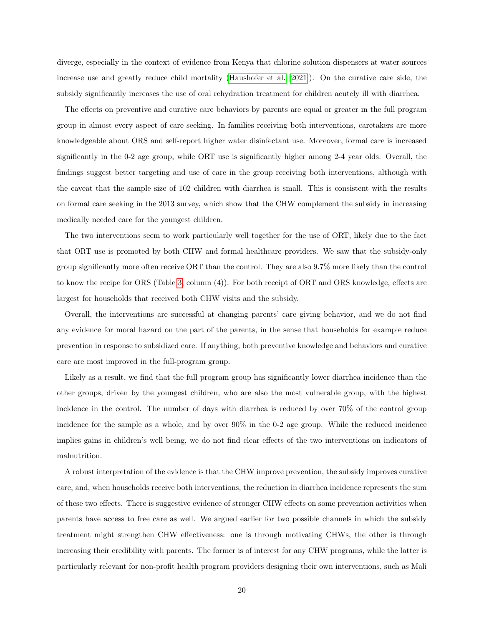diverge, especially in the context of evidence from Kenya that chlorine solution dispensers at water sources increase use and greatly reduce child mortality [\(Haushofer et al.](#page-21-13) [\[2021\]](#page-21-13)). On the curative care side, the subsidy significantly increases the use of oral rehydration treatment for children acutely ill with diarrhea.

The effects on preventive and curative care behaviors by parents are equal or greater in the full program group in almost every aspect of care seeking. In families receiving both interventions, caretakers are more knowledgeable about ORS and self-report higher water disinfectant use. Moreover, formal care is increased significantly in the 0-2 age group, while ORT use is significantly higher among 2-4 year olds. Overall, the findings suggest better targeting and use of care in the group receiving both interventions, although with the caveat that the sample size of 102 children with diarrhea is small. This is consistent with the results on formal care seeking in the 2013 survey, which show that the CHW complement the subsidy in increasing medically needed care for the youngest children.

The two interventions seem to work particularly well together for the use of ORT, likely due to the fact that ORT use is promoted by both CHW and formal healthcare providers. We saw that the subsidy-only group significantly more often receive ORT than the control. They are also 9.7% more likely than the control to know the recipe for ORS (Table [3,](#page-14-0) column (4)). For both receipt of ORT and ORS knowledge, effects are largest for households that received both CHW visits and the subsidy.

Overall, the interventions are successful at changing parents' care giving behavior, and we do not find any evidence for moral hazard on the part of the parents, in the sense that households for example reduce prevention in response to subsidized care. If anything, both preventive knowledge and behaviors and curative care are most improved in the full-program group.

Likely as a result, we find that the full program group has significantly lower diarrhea incidence than the other groups, driven by the youngest children, who are also the most vulnerable group, with the highest incidence in the control. The number of days with diarrhea is reduced by over 70% of the control group incidence for the sample as a whole, and by over 90% in the 0-2 age group. While the reduced incidence implies gains in children's well being, we do not find clear effects of the two interventions on indicators of malnutrition.

A robust interpretation of the evidence is that the CHW improve prevention, the subsidy improves curative care, and, when households receive both interventions, the reduction in diarrhea incidence represents the sum of these two effects. There is suggestive evidence of stronger CHW effects on some prevention activities when parents have access to free care as well. We argued earlier for two possible channels in which the subsidy treatment might strengthen CHW effectiveness: one is through motivating CHWs, the other is through increasing their credibility with parents. The former is of interest for any CHW programs, while the latter is particularly relevant for non-profit health program providers designing their own interventions, such as Mali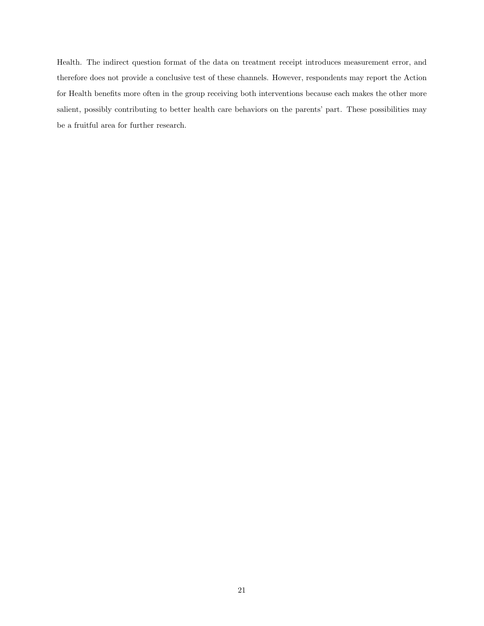Health. The indirect question format of the data on treatment receipt introduces measurement error, and therefore does not provide a conclusive test of these channels. However, respondents may report the Action for Health benefits more often in the group receiving both interventions because each makes the other more salient, possibly contributing to better health care behaviors on the parents' part. These possibilities may be a fruitful area for further research.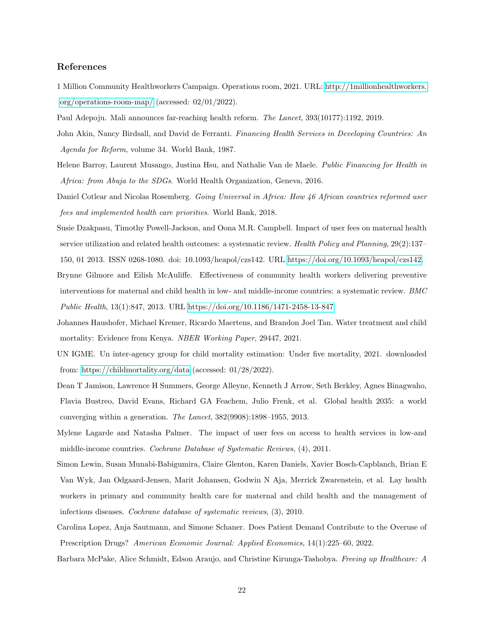# References

<span id="page-21-6"></span>1 Million Community Healthworkers Campaign. Operations room, 2021. URL: [http://1millionhealthworkers.](http://1millionhealthworkers.org/operations-room-map/) [org/operations-room-map/](http://1millionhealthworkers.org/operations-room-map/) (accessed: 02/01/2022).

<span id="page-21-3"></span><span id="page-21-0"></span>Paul Adepoju. Mali announces far-reaching health reform. The Lancet, 393(10177):1192, 2019.

- John Akin, Nancy Birdsall, and David de Ferranti. Financing Health Services in Developing Countries: An Agenda for Reform, volume 34. World Bank, 1987.
- <span id="page-21-4"></span>Helene Barroy, Laurent Musango, Justina Hsu, and Nathalie Van de Maele. Public Financing for Health in Africa: from Abuja to the SDGs. World Health Organization, Geneva, 2016.

<span id="page-21-5"></span>Daniel Cotlear and Nicolas Rosemberg. Going Universal in Africa: How 46 African countries reformed user fees and implemented health care priorities. World Bank, 2018.

- <span id="page-21-10"></span>Susie Dzakpasu, Timothy Powell-Jackson, and Oona M.R. Campbell. Impact of user fees on maternal health service utilization and related health outcomes: a systematic review. Health Policy and Planning, 29(2):137– 150, 01 2013. ISSN 0268-1080. doi: 10.1093/heapol/czs142. URL [https://doi.org/10.1093/heapol/czs142.](https://doi.org/10.1093/heapol/czs142)
- <span id="page-21-8"></span>Brynne Gilmore and Eilish McAuliffe. Effectiveness of community health workers delivering preventive interventions for maternal and child health in low- and middle-income countries: a systematic review. BMC Public Health, 13(1):847, 2013. URL [https://doi.org/10.1186/1471-2458-13-847.](https://doi.org/10.1186/1471-2458-13-847)

<span id="page-21-13"></span>Johannes Haushofer, Michael Kremer, Ricardo Maertens, and Brandon Joel Tan. Water treatment and child mortality: Evidence from Kenya. NBER Working Paper, 29447, 2021.

- <span id="page-21-9"></span>UN IGME. Un inter-agency group for child mortality estimation: Under five mortality, 2021. downloaded from:<https://childmortality.org/data> (accessed: 01/28/2022).
- <span id="page-21-2"></span>Dean T Jamison, Lawrence H Summers, George Alleyne, Kenneth J Arrow, Seth Berkley, Agnes Binagwaho, Flavia Bustreo, David Evans, Richard GA Feachem, Julio Frenk, et al. Global health 2035: a world converging within a generation. The Lancet, 382(9908):1898–1955, 2013.
- <span id="page-21-11"></span>Mylene Lagarde and Natasha Palmer. The impact of user fees on access to health services in low-and middle-income countries. Cochrane Database of Systematic Reviews, (4), 2011.
- <span id="page-21-7"></span>Simon Lewin, Susan Munabi-Babigumira, Claire Glenton, Karen Daniels, Xavier Bosch-Capblanch, Brian E Van Wyk, Jan Odgaard-Jensen, Marit Johansen, Godwin N Aja, Merrick Zwarenstein, et al. Lay health workers in primary and community health care for maternal and child health and the management of infectious diseases. Cochrane database of systematic reviews, (3), 2010.
- <span id="page-21-12"></span>Carolina Lopez, Anja Sautmann, and Simone Schaner. Does Patient Demand Contribute to the Overuse of Prescription Drugs? American Economic Journal: Applied Economics, 14(1):225–60, 2022.

<span id="page-21-1"></span>Barbara McPake, Alice Schmidt, Edson Araujo, and Christine Kirunga-Tashobya. *Freeing up Healthcare: A*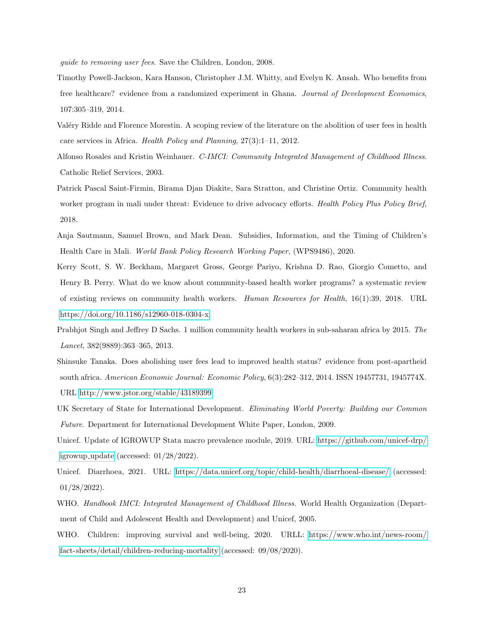guide to removing user fees. Save the Children, London, 2008.

- <span id="page-22-5"></span>Timothy Powell-Jackson, Kara Hanson, Christopher J.M. Whitty, and Evelyn K. Ansah. Who benefits from free healthcare? evidence from a randomized experiment in Ghana. Journal of Development Economics, 107:305–319, 2014.
- <span id="page-22-4"></span>Valéry Ridde and Florence Morestin. A scoping review of the literature on the abolition of user fees in health care services in Africa. Health Policy and Planning, 27(3):1–11, 2012.
- <span id="page-22-10"></span>Alfonso Rosales and Kristin Weinhauer. C-IMCI: Community Integrated Management of Childhood Illness. Catholic Relief Services, 2003.
- <span id="page-22-8"></span>Patrick Pascal Saint-Firmin, Birama Djan Diakite, Sara Stratton, and Christine Ortiz. Community health worker program in mali under threat: Evidence to drive advocacy efforts. Health Policy Plus Policy Brief, 2018.
- <span id="page-22-7"></span>Anja Sautmann, Samuel Brown, and Mark Dean. Subsidies, Information, and the Timing of Children's Health Care in Mali. World Bank Policy Research Working Paper, (WPS9486), 2020.
- <span id="page-22-3"></span>Kerry Scott, S. W. Beckham, Margaret Gross, George Pariyo, Krishna D. Rao, Giorgio Cometto, and Henry B. Perry. What do we know about community-based health worker programs? a systematic review of existing reviews on community health workers. Human Resources for Health, 16(1):39, 2018. URL [https://doi.org/10.1186/s12960-018-0304-x.](https://doi.org/10.1186/s12960-018-0304-x)
- <span id="page-22-2"></span>Prabhjot Singh and Jeffrey D Sachs. 1 million community health workers in sub-saharan africa by 2015. The Lancet, 382(9889):363–365, 2013.
- <span id="page-22-6"></span>Shinsuke Tanaka. Does abolishing user fees lead to improved health status? evidence from post-apartheid south africa. American Economic Journal: Economic Policy, 6(3):282–312, 2014. ISSN 19457731, 1945774X. URL [http://www.jstor.org/stable/43189399.](http://www.jstor.org/stable/43189399)
- <span id="page-22-1"></span>UK Secretary of State for International Development. Eliminating World Poverty: Building our Common Future. Department for International Development White Paper, London, 2009.
- <span id="page-22-12"></span>Unicef. Update of IGROWUP Stata macro prevalence module, 2019. URL: [https://github.com/unicef-drp/](https://github.com/unicef-drp/igrowup_update) [igrowup](https://github.com/unicef-drp/igrowup_update)\_update (accessed:  $01/28/2022$ ).
- <span id="page-22-0"></span>Unicef. Diarrhoea, 2021. URL:<https://data.unicef.org/topic/child-health/diarrhoeal-disease/> (accessed: 01/28/2022).
- <span id="page-22-11"></span>WHO. Handbook IMCI: Integrated Management of Childhood Illness. World Health Organization (Department of Child and Adolescent Health and Development) and Unicef, 2005.
- <span id="page-22-9"></span>WHO. Children: improving survival and well-being, 2020. URLL: [https://www.who.int/news-room/](https://www.who.int/news-room/fact-sheets/detail/children-reducing-mortality) [fact-sheets/detail/children-reducing-mortality](https://www.who.int/news-room/fact-sheets/detail/children-reducing-mortality) (accessed: 09/08/2020).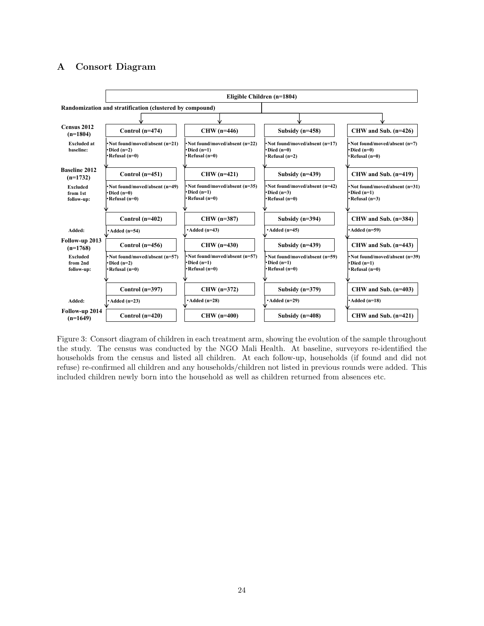# <span id="page-23-1"></span>A Consort Diagram



<span id="page-23-0"></span>Figure 3: Consort diagram of children in each treatment arm, showing the evolution of the sample throughout the study. The census was conducted by the NGO Mali Health. At baseline, surveyors re-identified the households from the census and listed all children. At each follow-up, households (if found and did not refuse) re-confirmed all children and any households/children not listed in previous rounds were added. This included children newly born into the household as well as children returned from absences etc.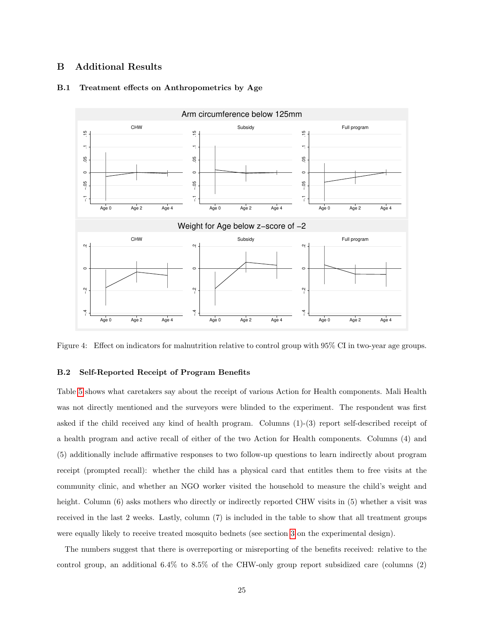# <span id="page-24-0"></span>B Additional Results



# B.1 Treatment effects on Anthropometrics by Age

<span id="page-24-1"></span>Figure 4: Effect on indicators for malnutrition relative to control group with 95% CI in two-year age groups.

## B.2 Self-Reported Receipt of Program Benefits

Table [5](#page-25-0) shows what caretakers say about the receipt of various Action for Health components. Mali Health was not directly mentioned and the surveyors were blinded to the experiment. The respondent was first asked if the child received any kind of health program. Columns (1)-(3) report self-described receipt of a health program and active recall of either of the two Action for Health components. Columns (4) and (5) additionally include affirmative responses to two follow-up questions to learn indirectly about program receipt (prompted recall): whether the child has a physical card that entitles them to free visits at the community clinic, and whether an NGO worker visited the household to measure the child's weight and height. Column (6) asks mothers who directly or indirectly reported CHW visits in (5) whether a visit was received in the last 2 weeks. Lastly, column (7) is included in the table to show that all treatment groups were equally likely to receive treated mosquito bednets (see section [3](#page-6-0) on the experimental design).

The numbers suggest that there is overreporting or misreporting of the benefits received: relative to the control group, an additional 6.4% to 8.5% of the CHW-only group report subsidized care (columns (2)